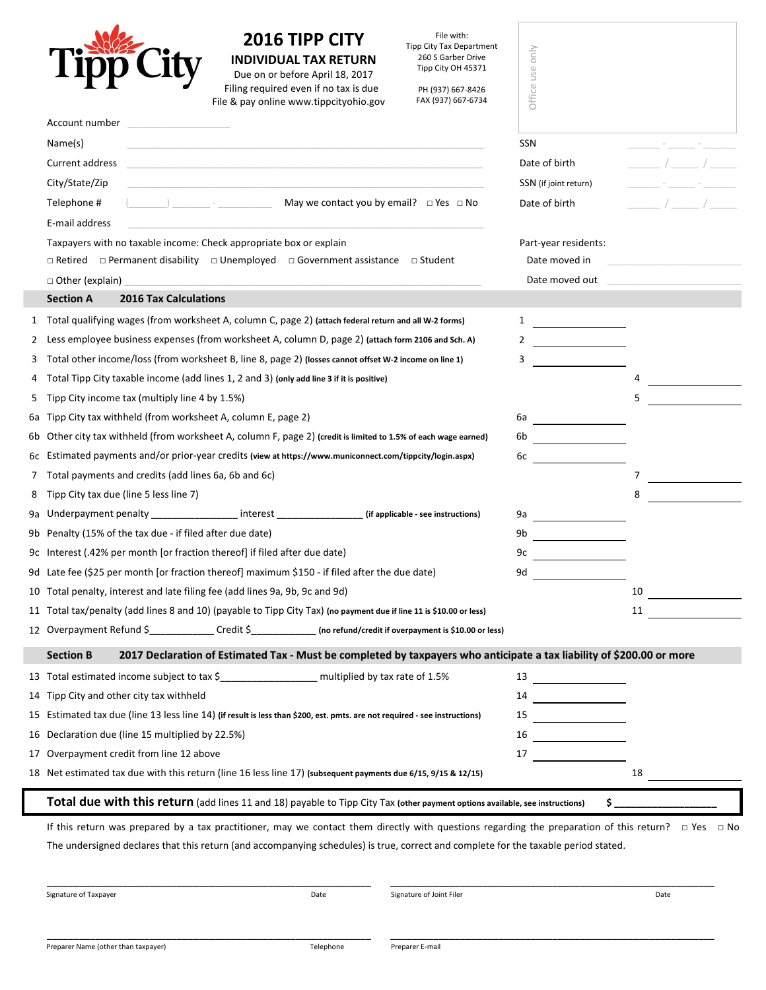

## **2016 TIPP CITY INDIVIDUAL TAX RETURN**

File with: Tipp City Tax Department 260 S Garber Drive Tipp City OH 45371

| ZUID HPP UIT<br>Tipp City Tax Department<br>260 S Garber Drive<br><b>INDIVIDUAL TAX RETURN</b><br>Tipp City OH 45371<br>Due on or before April 18, 2017<br>Filing required even if no tax is due<br>PH (937) 667-8426<br>File & pay online www.tippcityohio.gov<br>FAX (937) 667-6734 | only<br>use<br>Office                                                                                                      |                                           |
|---------------------------------------------------------------------------------------------------------------------------------------------------------------------------------------------------------------------------------------------------------------------------------------|----------------------------------------------------------------------------------------------------------------------------|-------------------------------------------|
| Account number                                                                                                                                                                                                                                                                        |                                                                                                                            |                                           |
| Name(s)<br><u> 1989 - Johann John Stoff, deutscher Stoff als der Stoff als der Stoff als der Stoff als der Stoff als der Stoff</u>                                                                                                                                                    | <b>SSN</b>                                                                                                                 |                                           |
| Current address                                                                                                                                                                                                                                                                       | Date of birth                                                                                                              | $\frac{1}{2}$ $\frac{1}{2}$ $\frac{1}{2}$ |
| City/State/Zip                                                                                                                                                                                                                                                                        | SSN (if joint return)                                                                                                      |                                           |
| May we contact you by email? $\Box$ Yes $\Box$ No<br>Telephone #<br>$\begin{pmatrix} 1 & 1 \\ 1 & 1 \end{pmatrix}$<br>E-mail address                                                                                                                                                  | Date of birth                                                                                                              | $\sqrt{2}$                                |
|                                                                                                                                                                                                                                                                                       | Part-year residents:                                                                                                       |                                           |
| Taxpayers with no taxable income: Check appropriate box or explain<br>$\Box$ Retired $\Box$ Permanent disability $\Box$ Unemployed $\Box$ Government assistance<br>□ Student                                                                                                          | Date moved in                                                                                                              |                                           |
| □ Other (explain)                                                                                                                                                                                                                                                                     | Date moved out                                                                                                             |                                           |
| <b>2016 Tax Calculations</b><br><b>Section A</b>                                                                                                                                                                                                                                      |                                                                                                                            |                                           |
| 1 Total qualifying wages (from worksheet A, column C, page 2) (attach federal return and all W-2 forms)                                                                                                                                                                               |                                                                                                                            |                                           |
| 2 Less employee business expenses (from worksheet A, column D, page 2) (attach form 2106 and Sch. A)                                                                                                                                                                                  |                                                                                                                            |                                           |
| Total other income/loss (from worksheet B, line 8, page 2) (losses cannot offset W-2 income on line 1)<br>3                                                                                                                                                                           | 3                                                                                                                          |                                           |
| 4 Total Tipp City taxable income (add lines 1, 2 and 3) (only add line 3 if it is positive)                                                                                                                                                                                           |                                                                                                                            |                                           |
| 5 Tipp City income tax (multiply line 4 by 1.5%)                                                                                                                                                                                                                                      |                                                                                                                            | 5                                         |
| 6a Tipp City tax withheld (from worksheet A, column E, page 2)                                                                                                                                                                                                                        | 6а                                                                                                                         |                                           |
| 6b Other city tax withheld (from worksheet A, column F, page 2) (credit is limited to 1.5% of each wage earned)                                                                                                                                                                       | <u> 1989 - Jan Barbara III, prima posta</u>                                                                                |                                           |
| 6c Estimated payments and/or prior-year credits (view at https://www.municonnect.com/tippcity/login.aspx)                                                                                                                                                                             | 6c                                                                                                                         |                                           |
| 7 Total payments and credits (add lines 6a, 6b and 6c)                                                                                                                                                                                                                                |                                                                                                                            | 7                                         |
| 8 Tipp City tax due (line 5 less line 7)                                                                                                                                                                                                                                              |                                                                                                                            | 8                                         |
| 9a Underpayment penalty ________________ interest ________________ (if applicable - see instructions)                                                                                                                                                                                 | 9a                                                                                                                         |                                           |
| 9b Penalty (15% of the tax due - if filed after due date)                                                                                                                                                                                                                             | 9b<br><u> 1990 - Jan Stein Stein Stein Stein Stein Stein Stein Stein Stein Stein Stein Stein Stein Stein Stein Stein S</u> |                                           |
| 9c Interest (.42% per month [or fraction thereof] if filed after due date)                                                                                                                                                                                                            | 9c                                                                                                                         |                                           |
| 9d Late fee (\$25 per month [or fraction thereof] maximum \$150 - if filed after the due date)                                                                                                                                                                                        | 9d                                                                                                                         |                                           |
| 10 Total penalty, interest and late filing fee (add lines 9a, 9b, 9c and 9d)                                                                                                                                                                                                          |                                                                                                                            | 10                                        |
| 11 Total tax/penalty (add lines 8 and 10) (payable to Tipp City Tax) (no payment due if line 11 is \$10.00 or less)                                                                                                                                                                   |                                                                                                                            | 11                                        |
| 12 Overpayment Refund \$______________Credit \$______________ (no refund/credit if overpayment is \$10.00 or less)                                                                                                                                                                    |                                                                                                                            |                                           |
| <b>Section B</b><br>2017 Declaration of Estimated Tax - Must be completed by taxpayers who anticipate a tax liability of \$200.00 or more                                                                                                                                             |                                                                                                                            |                                           |
|                                                                                                                                                                                                                                                                                       | 13                                                                                                                         |                                           |
| 14 Tipp City and other city tax withheld                                                                                                                                                                                                                                              | 14                                                                                                                         |                                           |
| 15 Estimated tax due (line 13 less line 14) (if result is less than \$200, est. pmts. are not required - see instructions)                                                                                                                                                            | 15                                                                                                                         |                                           |
| 16 Declaration due (line 15 multiplied by 22.5%)                                                                                                                                                                                                                                      | 16<br><u> 1999 - Jan Barbara III, politik politik (</u>                                                                    |                                           |
| 17 Overpayment credit from line 12 above                                                                                                                                                                                                                                              | 17                                                                                                                         |                                           |
| 18 Net estimated tax due with this return (line 16 less line 17) (subsequent payments due 6/15, 9/15 & 12/15)                                                                                                                                                                         |                                                                                                                            | 18                                        |
| Total due with this return (add lines 11 and 18) payable to Tipp City Tax (other payment options available, see instructions)                                                                                                                                                         |                                                                                                                            |                                           |
| If this return was prepared by a tax practitioner, may we contact them directly with questions regarding the preparation of this return? $\square$ Yes $\square$ No                                                                                                                   |                                                                                                                            |                                           |

The undersigned declares that this return (and accompanying schedules) is true, correct and complete for the taxable period stated.

\_\_\_\_\_\_\_\_\_\_\_\_\_\_\_\_\_\_\_\_\_\_\_\_\_\_\_\_\_\_\_\_\_\_\_\_\_\_\_\_\_\_\_\_\_\_\_\_\_\_\_\_\_\_\_\_\_\_\_\_ \_\_\_\_\_\_\_\_\_\_\_\_\_\_\_\_\_\_\_\_\_\_\_\_\_\_\_\_\_\_\_\_\_\_\_\_\_\_\_\_\_\_\_\_\_\_\_\_\_\_\_\_\_\_\_\_\_\_\_\_

Signature of Taxpayer and the State of Taxpayer Date of Joint Filer Signature of Joint Filer Communications of Date Date of Joint Filer Date of Joint Filer Date of Joint Filer Date of Joint Filer Date of Joint Filer Date o